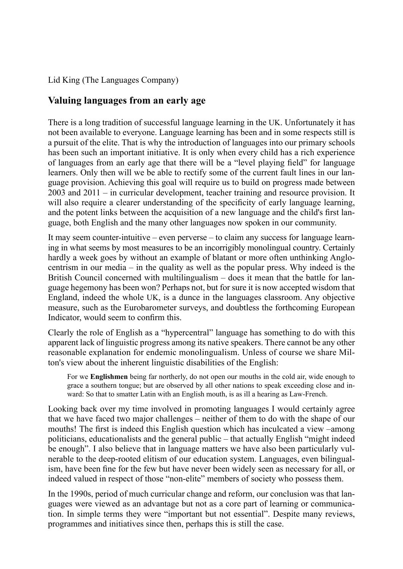## Lid King (The Languages Company)

## **Valuing languages from an early age**

There is a long tradition of successful language learning in the UK. Unfortunately it has not been available to everyone. Language learning has been and in some respects still is a pursuit of the elite. That is why the introduction of languages into our primary schools has been such an important initiative. It is only when every child has a rich experience of languages from an early age that there will be a "level playing field" for language learners. Only then will we be able to rectify some of the current fault lines in our language provision. Achieving this goal will require us to build on progress made between 2003 and 2011 – in curricular development, teacher training and resource provision. It will also require a clearer understanding of the specificity of early language learning, and the potent links between the acquisition of a new language and the child's first language, both English and the many other languages now spoken in our community.

It may seem counter-intuitive – even perverse *–* to claim any success for language learning in what seems by most measures to be an incorrigibly monolingual country. Certainly hardly a week goes by without an example of blatant or more often unthinking Anglocentrism in our media – in the quality as well as the popular press. Why indeed is the British Council concerned with multilingualism – does it mean that the battle for language hegemony has been won? Perhaps not, but for sure it is now accepted wisdom that England, indeed the whole UK, is a dunce in the languages classroom. Any objective measure, such as the Eurobarometer surveys, and doubtless the forthcoming European Indicator, would seem to confirm this.

Clearly the role of English as a "hypercentral" language has something to do with this apparent lack of linguistic progress among its native speakers. There cannot be any other reasonable explanation for endemic monolingualism. Unless of course we share Milton's view about the inherent linguistic disabilities of the English:

For we **Englishmen** being far northerly, do not open our mouths in the cold air, wide enough to grace a southern tongue; but are observed by all other nations to speak exceeding close and inward: So that to smatter Latin with an English mouth, is as ill a hearing as Law-French.

Looking back over my time involved in promoting languages I would certainly agree that we have faced two major challenges – neither of them to do with the shape of our mouths! The first is indeed this English question which has inculcated a view –among politicians, educationalists and the general public – that actually English "might indeed be enough". I also believe that in language matters we have also been particularly vulnerable to the deep-rooted elitism of our education system. Languages, even bilingualism, have been fine for the few but have never been widely seen as necessary for all, or indeed valued in respect of those "non-elite" members of society who possess them.

In the 1990s, period of much curricular change and reform, our conclusion was that languages were viewed as an advantage but not as a core part of learning or communication. In simple terms they were "important but not essential". Despite many reviews, programmes and initiatives since then, perhaps this is still the case.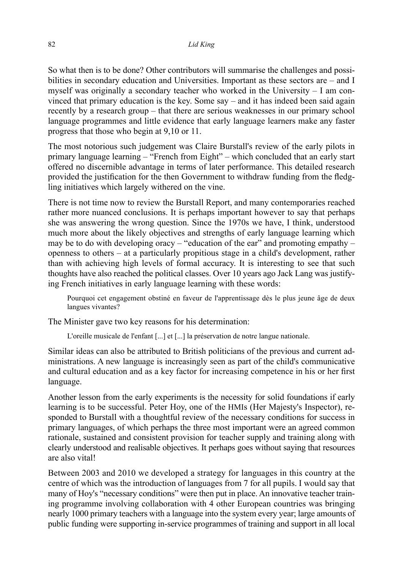So what then is to be done? Other contributors will summarise the challenges and possibilities in secondary education and Universities. Important as these sectors are – and I myself was originally a secondary teacher who worked in the University – I am convinced that primary education is the key. Some say – and it has indeed been said again recently by a research group – that there are serious weaknesses in our primary school language programmes and little evidence that early language learners make any faster progress that those who begin at 9,10 or 11.

The most notorious such judgement was Claire Burstall's review of the early pilots in primary language learning – "French from Eight" – which concluded that an early start offered no discernible advantage in terms of later performance. This detailed research provided the justification for the then Government to withdraw funding from the fledgling initiatives which largely withered on the vine.

There is not time now to review the Burstall Report, and many contemporaries reached rather more nuanced conclusions. It is perhaps important however to say that perhaps she was answering the wrong question. Since the 1970s we have, I think, understood much more about the likely objectives and strengths of early language learning which may be to do with developing oracy – "education of the ear" and promoting empathy – openness to others – at a particularly propitious stage in a child's development, rather than with achieving high levels of formal accuracy. It is interesting to see that such thoughts have also reached the political classes. Over 10 years ago Jack Lang was justifying French initiatives in early language learning with these words:

Pourquoi cet engagement obstiné en faveur de l'apprentissage dès le plus jeune âge de deux langues vivantes?

The Minister gave two key reasons for his determination:

L'oreille musicale de l'enfant [...] et [...] la préservation de notre langue nationale.

Similar ideas can also be attributed to British politicians of the previous and current administrations. A new language is increasingly seen as part of the child's communicative and cultural education and as a key factor for increasing competence in his or her first language.

Another lesson from the early experiments is the necessity for solid foundations if early learning is to be successful. Peter Hoy, one of the HMIs (Her Majesty's Inspector), responded to Burstall with a thoughtful review of the necessary conditions for success in primary languages, of which perhaps the three most important were an agreed common rationale, sustained and consistent provision for teacher supply and training along with clearly understood and realisable objectives. It perhaps goes without saying that resources are also vital!

Between 2003 and 2010 we developed a strategy for languages in this country at the centre of which was the introduction of languages from 7 for all pupils. I would say that many of Hoy's "necessary conditions" were then put in place. An innovative teacher training programme involving collaboration with 4 other European countries was bringing nearly 1000 primary teachers with a language into the system every year; large amounts of public funding were supporting in-service programmes of training and support in all local